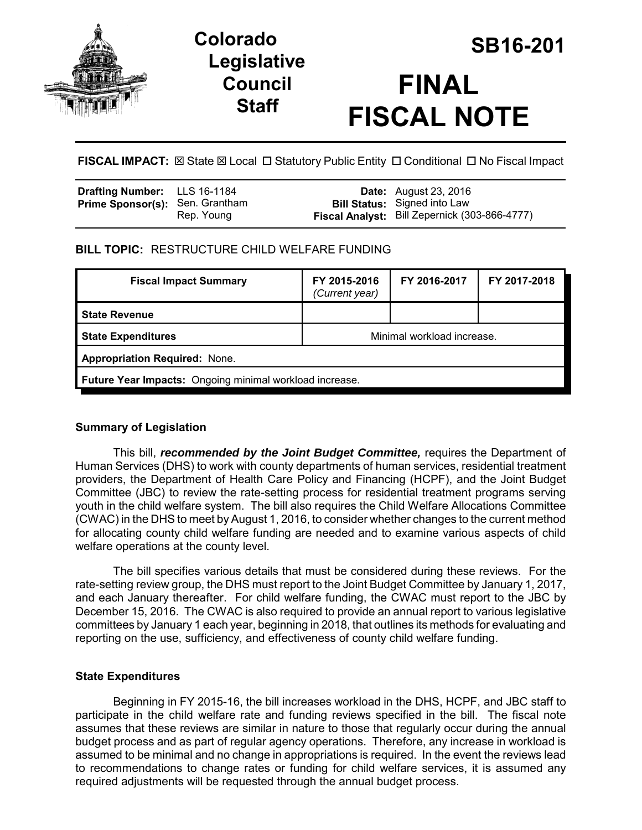

# **Legislative Council Staff**



**FISCAL IMPACT:** ⊠ State ⊠ Local □ Statutory Public Entity □ Conditional □ No Fiscal Impact

| Drafting Number: LLS 16-1184           |            | <b>Date:</b> August 23, 2016                  |
|----------------------------------------|------------|-----------------------------------------------|
| <b>Prime Sponsor(s): Sen. Grantham</b> |            | <b>Bill Status:</b> Signed into Law           |
|                                        | Rep. Young | Fiscal Analyst: Bill Zepernick (303-866-4777) |

## **BILL TOPIC:** RESTRUCTURE CHILD WELFARE FUNDING

| <b>Fiscal Impact Summary</b>                            | FY 2015-2016<br>(Current year) | FY 2016-2017 | FY 2017-2018 |  |  |
|---------------------------------------------------------|--------------------------------|--------------|--------------|--|--|
| <b>State Revenue</b>                                    |                                |              |              |  |  |
| <b>State Expenditures</b>                               | Minimal workload increase.     |              |              |  |  |
| <b>Appropriation Required: None.</b>                    |                                |              |              |  |  |
| Future Year Impacts: Ongoing minimal workload increase. |                                |              |              |  |  |

# **Summary of Legislation**

This bill, *recommended by the Joint Budget Committee,* requires the Department of Human Services (DHS) to work with county departments of human services, residential treatment providers, the Department of Health Care Policy and Financing (HCPF), and the Joint Budget Committee (JBC) to review the rate-setting process for residential treatment programs serving youth in the child welfare system. The bill also requires the Child Welfare Allocations Committee (CWAC) in the DHS to meet by August 1, 2016, to consider whether changes to the current method for allocating county child welfare funding are needed and to examine various aspects of child welfare operations at the county level.

The bill specifies various details that must be considered during these reviews. For the rate-setting review group, the DHS must report to the Joint Budget Committee by January 1, 2017, and each January thereafter. For child welfare funding, the CWAC must report to the JBC by December 15, 2016. The CWAC is also required to provide an annual report to various legislative committees by January 1 each year, beginning in 2018, that outlines its methods for evaluating and reporting on the use, sufficiency, and effectiveness of county child welfare funding.

# **State Expenditures**

Beginning in FY 2015-16, the bill increases workload in the DHS, HCPF, and JBC staff to participate in the child welfare rate and funding reviews specified in the bill. The fiscal note assumes that these reviews are similar in nature to those that regularly occur during the annual budget process and as part of regular agency operations. Therefore, any increase in workload is assumed to be minimal and no change in appropriations is required. In the event the reviews lead to recommendations to change rates or funding for child welfare services, it is assumed any required adjustments will be requested through the annual budget process.